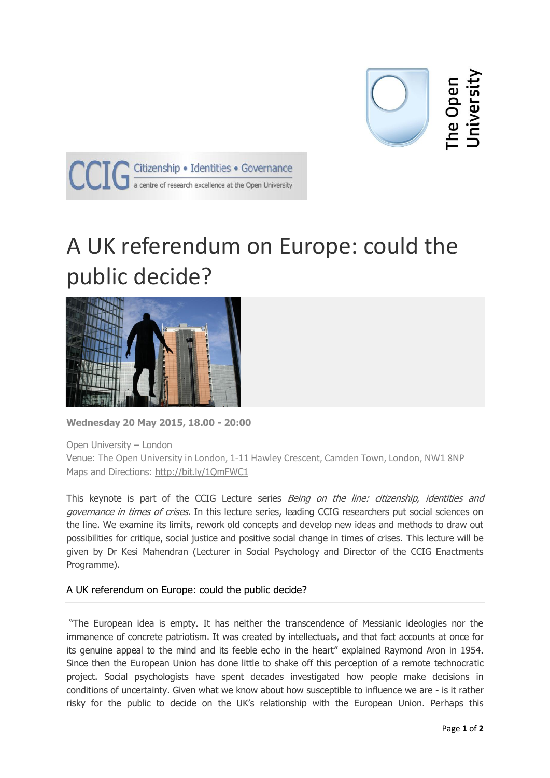

The Open<br>Jniversity



## A UK referendum on Europe: could the public decide?



**Wednesday 20 May 2015, 18.00 - 20:00**

Open University – London

Venue: The Open University in London, 1-11 Hawley Crescent, Camden Town, London, NW1 8NP Maps and Directions: <http://bit.ly/1QmFWC1>

This keynote is part of the CCIG Lecture series Being on the line: citizenship, identities and governance in times of crises. In this lecture series, leading CCIG researchers put social sciences on the line. We examine its limits, rework old concepts and develop new ideas and methods to draw out possibilities for critique, social justice and positive social change in times of crises. This lecture will be given by Dr Kesi Mahendran (Lecturer in Social Psychology and Director of the CCIG Enactments Programme).

## A UK referendum on Europe: could the public decide?

"The European idea is empty. It has neither the transcendence of Messianic ideologies nor the immanence of concrete patriotism. It was created by intellectuals, and that fact accounts at once for its genuine appeal to the mind and its feeble echo in the heart" explained Raymond Aron in 1954. Since then the European Union has done little to shake off this perception of a remote technocratic project. Social psychologists have spent decades investigated how people make decisions in conditions of uncertainty. Given what we know about how susceptible to influence we are - is it rather risky for the public to decide on the UK's relationship with the European Union. Perhaps this